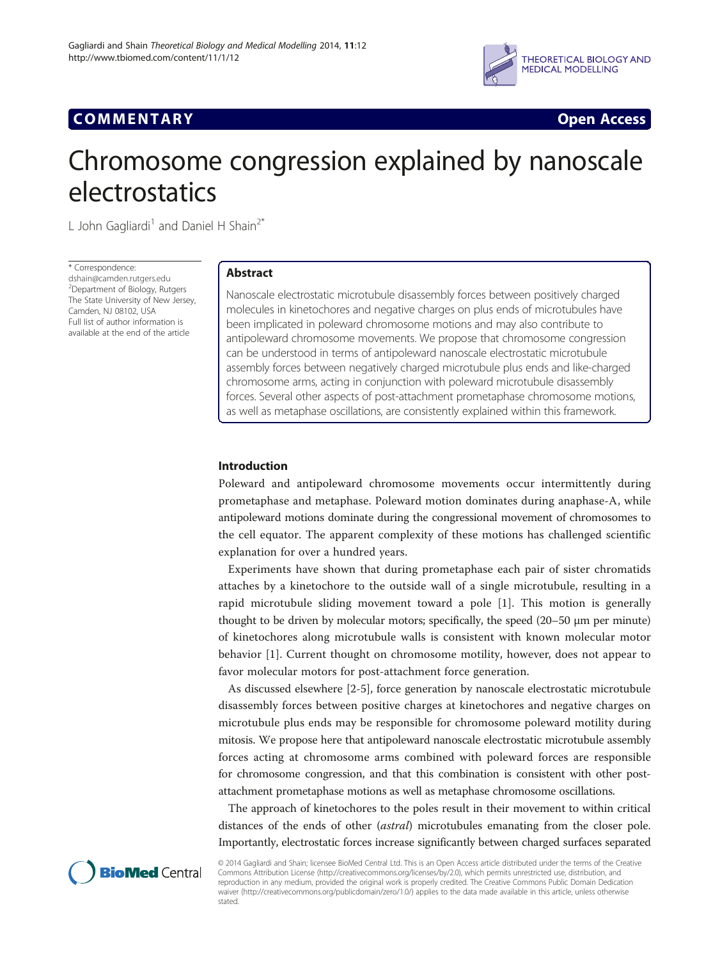

## **COMMENTARY COMMENTARY Open Access**



# Chromosome congression explained by nanoscale electrostatics

L John Gagliardi<sup>1</sup> and Daniel H Shain<sup>2\*</sup>

\* Correspondence: [dshain@camden.rutgers.edu](mailto:dshain@camden.rutgers.edu) 2 Department of Biology, Rutgers The State University of New Jersey, Camden, NJ 08102, USA Full list of author information is available at the end of the article

## Abstract

Nanoscale electrostatic microtubule disassembly forces between positively charged molecules in kinetochores and negative charges on plus ends of microtubules have been implicated in poleward chromosome motions and may also contribute to antipoleward chromosome movements. We propose that chromosome congression can be understood in terms of antipoleward nanoscale electrostatic microtubule assembly forces between negatively charged microtubule plus ends and like-charged chromosome arms, acting in conjunction with poleward microtubule disassembly forces. Several other aspects of post-attachment prometaphase chromosome motions, as well as metaphase oscillations, are consistently explained within this framework.

## Introduction

Poleward and antipoleward chromosome movements occur intermittently during prometaphase and metaphase. Poleward motion dominates during anaphase-A, while antipoleward motions dominate during the congressional movement of chromosomes to the cell equator. The apparent complexity of these motions has challenged scientific explanation for over a hundred years.

Experiments have shown that during prometaphase each pair of sister chromatids attaches by a kinetochore to the outside wall of a single microtubule, resulting in a rapid microtubule sliding movement toward a pole [\[1](#page-5-0)]. This motion is generally thought to be driven by molecular motors; specifically, the speed (20–50 μm per minute) of kinetochores along microtubule walls is consistent with known molecular motor behavior [\[1](#page-5-0)]. Current thought on chromosome motility, however, does not appear to favor molecular motors for post-attachment force generation.

As discussed elsewhere [[2-5](#page-5-0)], force generation by nanoscale electrostatic microtubule disassembly forces between positive charges at kinetochores and negative charges on microtubule plus ends may be responsible for chromosome poleward motility during mitosis. We propose here that antipoleward nanoscale electrostatic microtubule assembly forces acting at chromosome arms combined with poleward forces are responsible for chromosome congression, and that this combination is consistent with other postattachment prometaphase motions as well as metaphase chromosome oscillations.

The approach of kinetochores to the poles result in their movement to within critical distances of the ends of other (astral) microtubules emanating from the closer pole. Importantly, electrostatic forces increase significantly between charged surfaces separated



© 2014 Gagliardi and Shain; licensee BioMed Central Ltd. This is an Open Access article distributed under the terms of the Creative Commons Attribution License [\(http://creativecommons.org/licenses/by/2.0\)](http://creativecommons.org/licenses/by/2.0), which permits unrestricted use, distribution, and reproduction in any medium, provided the original work is properly credited. The Creative Commons Public Domain Dedication waiver [\(http://creativecommons.org/publicdomain/zero/1.0/\)](http://creativecommons.org/publicdomain/zero/1.0/) applies to the data made available in this article, unless otherwise stated.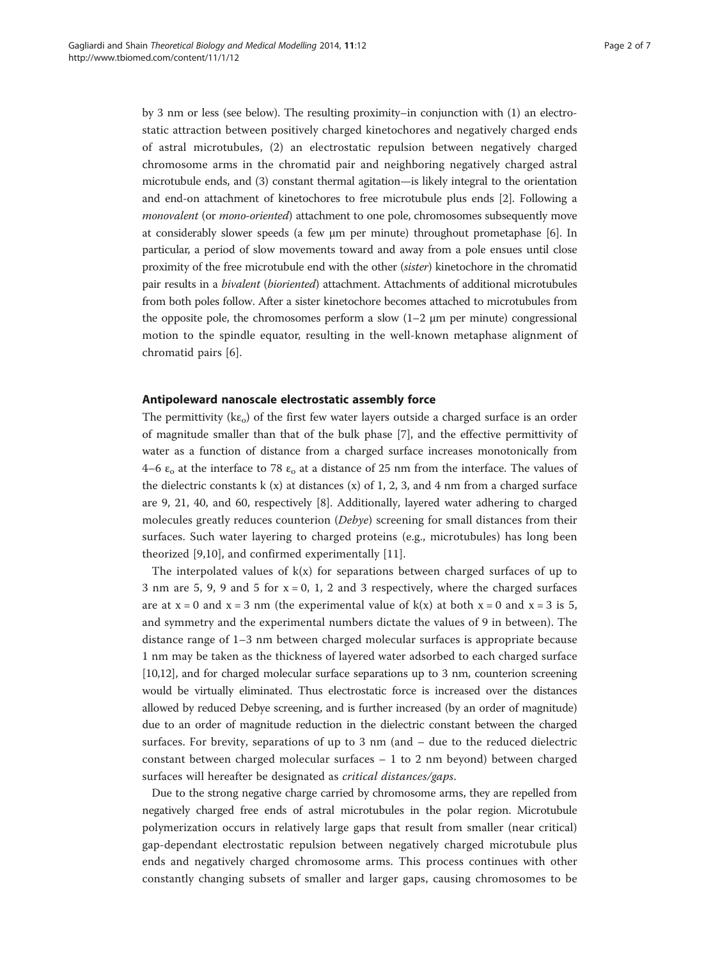by 3 nm or less (see below). The resulting proximity–in conjunction with (1) an electrostatic attraction between positively charged kinetochores and negatively charged ends of astral microtubules, (2) an electrostatic repulsion between negatively charged chromosome arms in the chromatid pair and neighboring negatively charged astral microtubule ends, and (3) constant thermal agitation—is likely integral to the orientation and end-on attachment of kinetochores to free microtubule plus ends [[2\]](#page-5-0). Following a monovalent (or mono-oriented) attachment to one pole, chromosomes subsequently move at considerably slower speeds (a few μm per minute) throughout prometaphase [\[6\]](#page-6-0). In particular, a period of slow movements toward and away from a pole ensues until close proximity of the free microtubule end with the other (sister) kinetochore in the chromatid pair results in a bivalent (bioriented) attachment. Attachments of additional microtubules from both poles follow. After a sister kinetochore becomes attached to microtubules from the opposite pole, the chromosomes perform a slow  $(1-2 \mu m)$  per minute) congressional motion to the spindle equator, resulting in the well-known metaphase alignment of chromatid pairs [[6\]](#page-6-0).

## Antipoleward nanoscale electrostatic assembly force

The permittivity (k $\varepsilon_0$ ) of the first few water layers outside a charged surface is an order of magnitude smaller than that of the bulk phase [[7\]](#page-6-0), and the effective permittivity of water as a function of distance from a charged surface increases monotonically from 4–6  $\varepsilon_0$  at the interface to 78  $\varepsilon_0$  at a distance of 25 nm from the interface. The values of the dielectric constants k (x) at distances (x) of 1, 2, 3, and 4 nm from a charged surface are 9, 21, 40, and 60, respectively [\[8\]](#page-6-0). Additionally, layered water adhering to charged molecules greatly reduces counterion (Debye) screening for small distances from their surfaces. Such water layering to charged proteins (e.g., microtubules) has long been theorized [[9,10](#page-6-0)], and confirmed experimentally [\[11](#page-6-0)].

The interpolated values of  $k(x)$  for separations between charged surfaces of up to 3 nm are 5, 9, 9 and 5 for  $x = 0$ , 1, 2 and 3 respectively, where the charged surfaces are at  $x = 0$  and  $x = 3$  nm (the experimental value of  $k(x)$  at both  $x = 0$  and  $x = 3$  is 5, and symmetry and the experimental numbers dictate the values of 9 in between). The distance range of 1–3 nm between charged molecular surfaces is appropriate because 1 nm may be taken as the thickness of layered water adsorbed to each charged surface [[10,12](#page-6-0)], and for charged molecular surface separations up to 3 nm, counterion screening would be virtually eliminated. Thus electrostatic force is increased over the distances allowed by reduced Debye screening, and is further increased (by an order of magnitude) due to an order of magnitude reduction in the dielectric constant between the charged surfaces. For brevity, separations of up to 3 nm (and – due to the reduced dielectric constant between charged molecular surfaces – 1 to 2 nm beyond) between charged surfaces will hereafter be designated as *critical distances/gaps*.

Due to the strong negative charge carried by chromosome arms, they are repelled from negatively charged free ends of astral microtubules in the polar region. Microtubule polymerization occurs in relatively large gaps that result from smaller (near critical) gap-dependant electrostatic repulsion between negatively charged microtubule plus ends and negatively charged chromosome arms. This process continues with other constantly changing subsets of smaller and larger gaps, causing chromosomes to be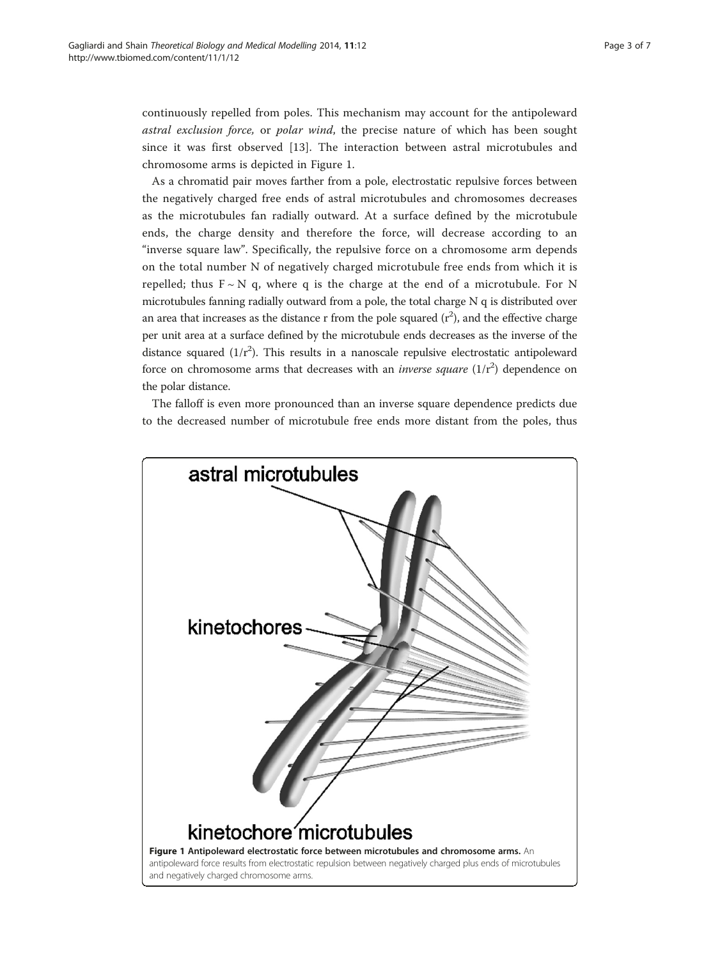continuously repelled from poles. This mechanism may account for the antipoleward astral exclusion force, or polar wind, the precise nature of which has been sought since it was first observed [[13\]](#page-6-0). The interaction between astral microtubules and chromosome arms is depicted in Figure 1.

As a chromatid pair moves farther from a pole, electrostatic repulsive forces between the negatively charged free ends of astral microtubules and chromosomes decreases as the microtubules fan radially outward. At a surface defined by the microtubule ends, the charge density and therefore the force, will decrease according to an "inverse square law". Specifically, the repulsive force on a chromosome arm depends on the total number N of negatively charged microtubule free ends from which it is repelled; thus  $F \sim N$  q, where q is the charge at the end of a microtubule. For N microtubules fanning radially outward from a pole, the total charge N q is distributed over an area that increases as the distance r from the pole squared  $(r^2)$ , and the effective charge per unit area at a surface defined by the microtubule ends decreases as the inverse of the distance squared  $(1/r^2)$ . This results in a nanoscale repulsive electrostatic antipoleward force on chromosome arms that decreases with an *inverse square*  $(1/r^2)$  dependence on the polar distance.

The falloff is even more pronounced than an inverse square dependence predicts due to the decreased number of microtubule free ends more distant from the poles, thus

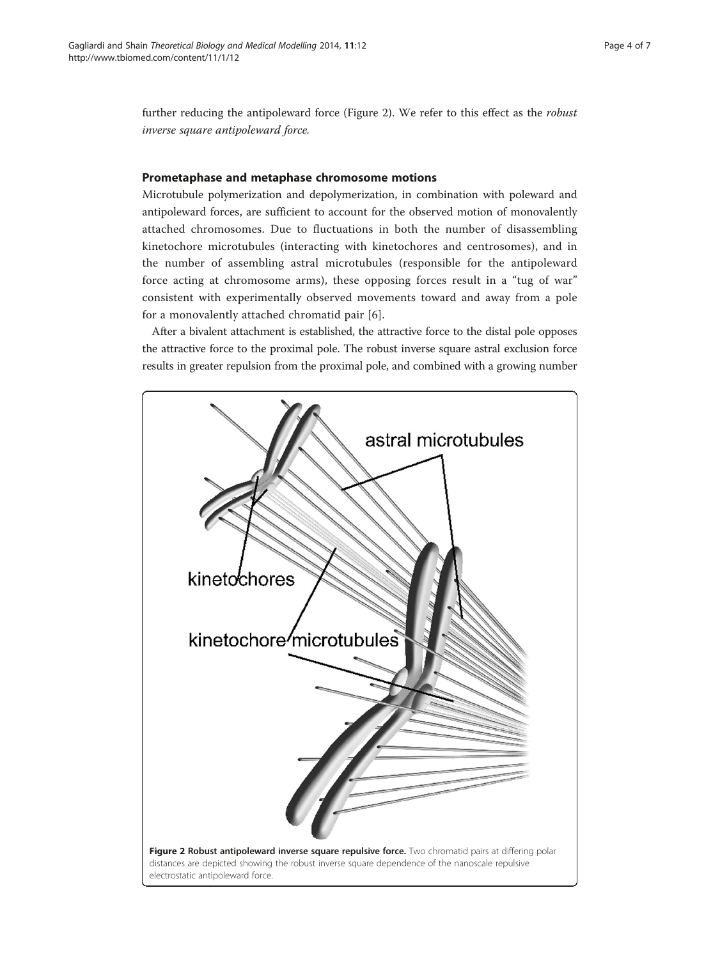further reducing the antipoleward force (Figure 2). We refer to this effect as the robust inverse square antipoleward force.

## Prometaphase and metaphase chromosome motions

Microtubule polymerization and depolymerization, in combination with poleward and antipoleward forces, are sufficient to account for the observed motion of monovalently attached chromosomes. Due to fluctuations in both the number of disassembling kinetochore microtubules (interacting with kinetochores and centrosomes), and in the number of assembling astral microtubules (responsible for the antipoleward force acting at chromosome arms), these opposing forces result in a "tug of war" consistent with experimentally observed movements toward and away from a pole for a monovalently attached chromatid pair [[6\]](#page-6-0).

After a bivalent attachment is established, the attractive force to the distal pole opposes the attractive force to the proximal pole. The robust inverse square astral exclusion force results in greater repulsion from the proximal pole, and combined with a growing number

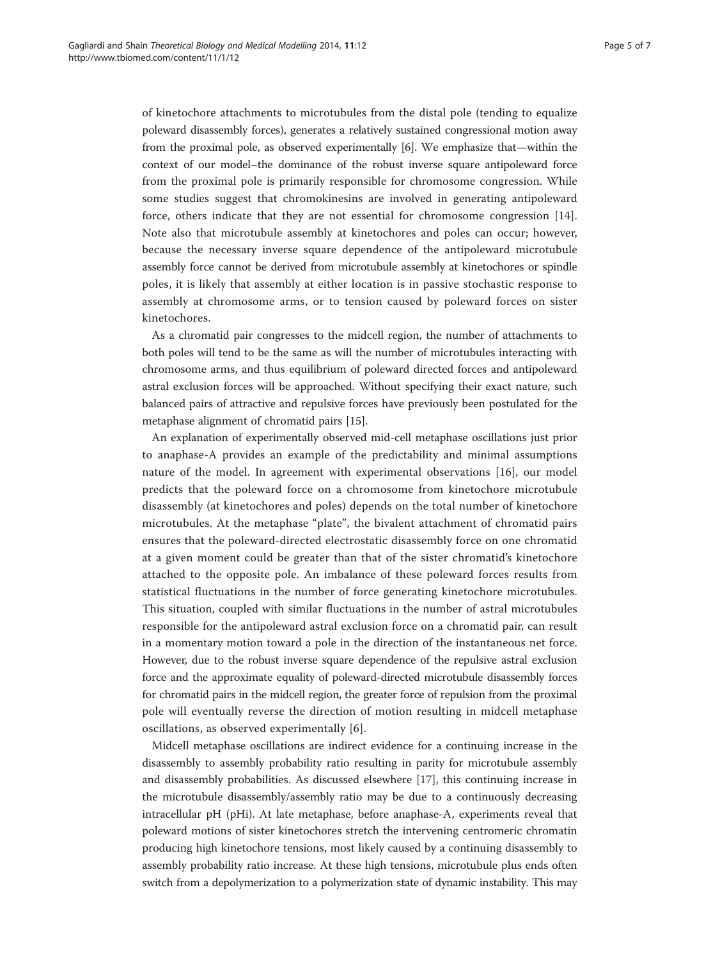of kinetochore attachments to microtubules from the distal pole (tending to equalize poleward disassembly forces), generates a relatively sustained congressional motion away from the proximal pole, as observed experimentally [\[6\]](#page-6-0). We emphasize that—within the context of our model–the dominance of the robust inverse square antipoleward force from the proximal pole is primarily responsible for chromosome congression. While some studies suggest that chromokinesins are involved in generating antipoleward force, others indicate that they are not essential for chromosome congression [\[14](#page-6-0)]. Note also that microtubule assembly at kinetochores and poles can occur; however, because the necessary inverse square dependence of the antipoleward microtubule assembly force cannot be derived from microtubule assembly at kinetochores or spindle poles, it is likely that assembly at either location is in passive stochastic response to assembly at chromosome arms, or to tension caused by poleward forces on sister kinetochores.

As a chromatid pair congresses to the midcell region, the number of attachments to both poles will tend to be the same as will the number of microtubules interacting with chromosome arms, and thus equilibrium of poleward directed forces and antipoleward astral exclusion forces will be approached. Without specifying their exact nature, such balanced pairs of attractive and repulsive forces have previously been postulated for the metaphase alignment of chromatid pairs [\[15](#page-6-0)].

An explanation of experimentally observed mid-cell metaphase oscillations just prior to anaphase-A provides an example of the predictability and minimal assumptions nature of the model. In agreement with experimental observations [\[16](#page-6-0)], our model predicts that the poleward force on a chromosome from kinetochore microtubule disassembly (at kinetochores and poles) depends on the total number of kinetochore microtubules. At the metaphase "plate", the bivalent attachment of chromatid pairs ensures that the poleward-directed electrostatic disassembly force on one chromatid at a given moment could be greater than that of the sister chromatid's kinetochore attached to the opposite pole. An imbalance of these poleward forces results from statistical fluctuations in the number of force generating kinetochore microtubules. This situation, coupled with similar fluctuations in the number of astral microtubules responsible for the antipoleward astral exclusion force on a chromatid pair, can result in a momentary motion toward a pole in the direction of the instantaneous net force. However, due to the robust inverse square dependence of the repulsive astral exclusion force and the approximate equality of poleward-directed microtubule disassembly forces for chromatid pairs in the midcell region, the greater force of repulsion from the proximal pole will eventually reverse the direction of motion resulting in midcell metaphase oscillations, as observed experimentally [\[6\]](#page-6-0).

Midcell metaphase oscillations are indirect evidence for a continuing increase in the disassembly to assembly probability ratio resulting in parity for microtubule assembly and disassembly probabilities. As discussed elsewhere [[17\]](#page-6-0), this continuing increase in the microtubule disassembly/assembly ratio may be due to a continuously decreasing intracellular pH (pHi). At late metaphase, before anaphase-A, experiments reveal that poleward motions of sister kinetochores stretch the intervening centromeric chromatin producing high kinetochore tensions, most likely caused by a continuing disassembly to assembly probability ratio increase. At these high tensions, microtubule plus ends often switch from a depolymerization to a polymerization state of dynamic instability. This may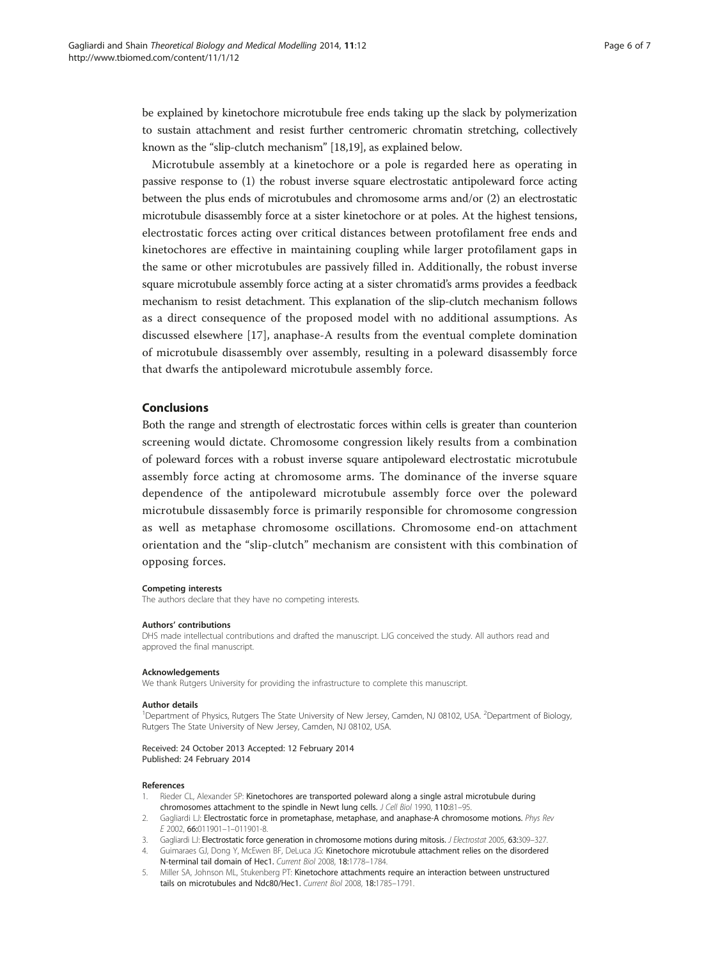<span id="page-5-0"></span>be explained by kinetochore microtubule free ends taking up the slack by polymerization to sustain attachment and resist further centromeric chromatin stretching, collectively known as the "slip-clutch mechanism" [\[18,19\]](#page-6-0), as explained below.

Microtubule assembly at a kinetochore or a pole is regarded here as operating in passive response to (1) the robust inverse square electrostatic antipoleward force acting between the plus ends of microtubules and chromosome arms and/or (2) an electrostatic microtubule disassembly force at a sister kinetochore or at poles. At the highest tensions, electrostatic forces acting over critical distances between protofilament free ends and kinetochores are effective in maintaining coupling while larger protofilament gaps in the same or other microtubules are passively filled in. Additionally, the robust inverse square microtubule assembly force acting at a sister chromatid's arms provides a feedback mechanism to resist detachment. This explanation of the slip-clutch mechanism follows as a direct consequence of the proposed model with no additional assumptions. As discussed elsewhere [[17\]](#page-6-0), anaphase-A results from the eventual complete domination of microtubule disassembly over assembly, resulting in a poleward disassembly force that dwarfs the antipoleward microtubule assembly force.

## Conclusions

Both the range and strength of electrostatic forces within cells is greater than counterion screening would dictate. Chromosome congression likely results from a combination of poleward forces with a robust inverse square antipoleward electrostatic microtubule assembly force acting at chromosome arms. The dominance of the inverse square dependence of the antipoleward microtubule assembly force over the poleward microtubule dissasembly force is primarily responsible for chromosome congression as well as metaphase chromosome oscillations. Chromosome end-on attachment orientation and the "slip-clutch" mechanism are consistent with this combination of opposing forces.

#### Competing interests

The authors declare that they have no competing interests.

#### Authors' contributions

DHS made intellectual contributions and drafted the manuscript. LJG conceived the study. All authors read and approved the final manuscript.

#### Acknowledgements

We thank Rutgers University for providing the infrastructure to complete this manuscript.

#### Author details

<sup>1</sup>Department of Physics, Rutgers The State University of New Jersey, Camden, NJ 08102, USA. <sup>2</sup>Department of Biology, Rutgers The State University of New Jersey, Camden, NJ 08102, USA.

#### Received: 24 October 2013 Accepted: 12 February 2014 Published: 24 February 2014

#### References

- 1. Rieder CL, Alexander SP: Kinetochores are transported poleward along a single astral microtubule during chromosomes attachment to the spindle in Newt lung cells. J Cell Biol 1990, 110:81-95.
- 2. Gagliardi LJ: Electrostatic force in prometaphase, metaphase, and anaphase-A chromosome motions. Phys Rev E 2002, 66:011901–1–011901-8.
- 3. Gagliardi LJ: Electrostatic force generation in chromosome motions during mitosis. J Electrostat 2005, 63:309-327.
- 4. Guimaraes GJ, Dong Y, McEwen BF, DeLuca JG: Kinetochore microtubule attachment relies on the disordered N-terminal tail domain of Hec1. Current Biol 2008, 18:1778–1784.
- 5. Miller SA, Johnson ML, Stukenberg PT: Kinetochore attachments require an interaction between unstructured tails on microtubules and Ndc80/Hec1. Current Biol 2008, 18:1785–1791.